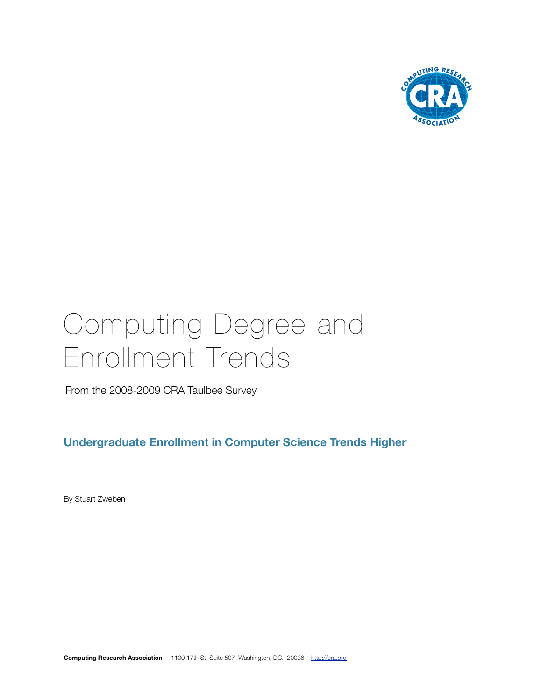

# Computing Degree and Enrollment Trends

From the 2008-2009 CRA Taulbee Survey

**Undergraduate Enrollment in Computer Science Trends Higher**

By Stuart Zweben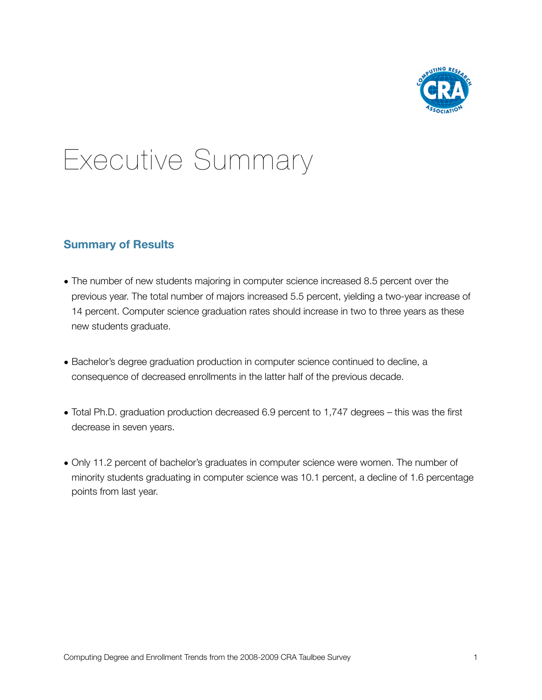

## Executive Summary

#### **Summary of Results**

- The number of new students majoring in computer science increased 8.5 percent over the previous year. The total number of majors increased 5.5 percent, yielding a two-year increase of 14 percent. Computer science graduation rates should increase in two to three years as these new students graduate.
- Bachelor's degree graduation production in computer science continued to decline, a consequence of decreased enrollments in the latter half of the previous decade.
- Total Ph.D. graduation production decreased 6.9 percent to 1,747 degrees this was the first decrease in seven years.
- Only 11.2 percent of bachelor's graduates in computer science were women. The number of minority students graduating in computer science was 10.1 percent, a decline of 1.6 percentage points from last year.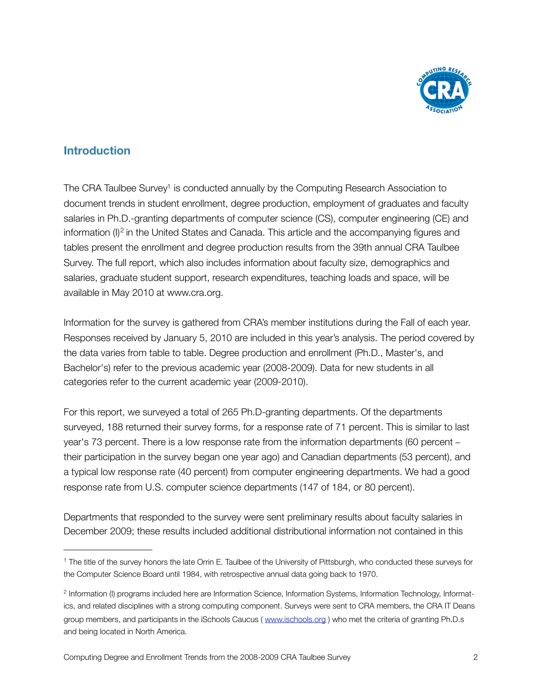

#### **Introduction**

The CRA Taulbee Survey<sup>1</sup> is conducted annually by the Computing Research Association to document trends in student enrollment, degree production, employment of graduates and faculty salaries in Ph.D.-granting departments of computer science (CS), computer engineering (CE) and information (I)<sup>[2](#page-2-1)</sup> in the United States and Canada. This article and the accompanying figures and tables present the enrollment and degree production results from the 39th annual CRA Taulbee Survey. The full report, which also includes information about faculty size, demographics and salaries, graduate student support, research expenditures, teaching loads and space, will be available in May 2010 at w[ww.cra.org.](http://www.cra.org)

Information for the survey is gathered from CRA's member institutions during the Fall of each year. Responses received by January 5, 2010 are included in this year's analysis. The period covered by the data varies from table to table. Degree production and enrollment (Ph.D., Master's, and Bachelor's) refer to the previous academic year (2008-2009). Data for new students in all categories refer to the current academic year (2009-2010).

For this report, we surveyed a total of 265 Ph.D-granting departments. Of the departments surveyed, 188 returned their survey forms, for a response rate of 71 percent. This is similar to last year's 73 percent. There is a low response rate from the information departments (60 percent – their participation in the survey began one year ago) and Canadian departments (53 percent), and a typical low response rate (40 percent) from computer engineering departments. We had a good response rate from U.S. computer science departments (147 of 184, or 80 percent).

Departments that responded to the survey were sent preliminary results about faculty salaries in December 2009; these results included additional distributional information not contained in this

Computing Degree and Enrollment Trends from the 2008-2009 CRA Taulbee Survey 2

<span id="page-2-0"></span><sup>1</sup> The title of the survey honors the late Orrin E. Taulbee of the University of Pittsburgh, who conducted these surveys for the Computer Science Board until 1984, with retrospective annual data going back to 1970.

<span id="page-2-1"></span><sup>&</sup>lt;sup>2</sup> Information (I) programs included here are Information Science, Information Systems, Information Technology, Informatics, and related disciplines with a strong computing component. Surveys were sent to CRA members, the CRA IT Deans group members, and participants in the iSchools Caucus (www.ischools.org) who met the criteria of granting Ph.D.s and being located in North America.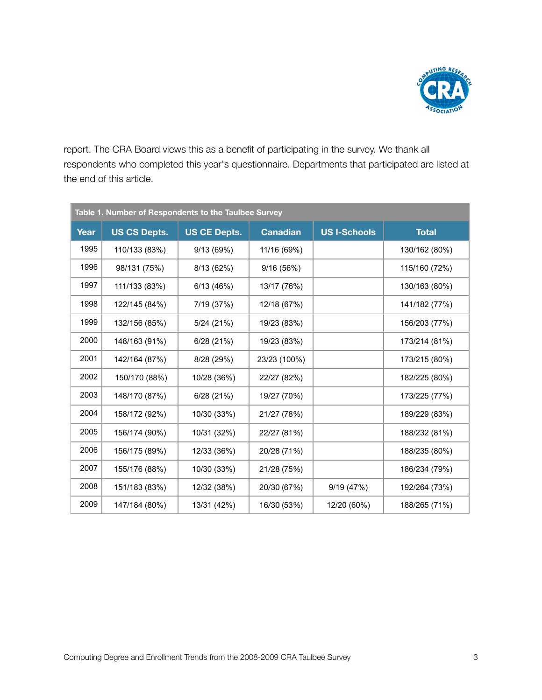

report. The CRA Board views this as a benefit of participating in the survey. We thank all respondents who completed this year's questionnaire. Departments that participated are listed at the end of this article.

|      | Table 1. Number of Respondents to the Taulbee Survey |                     |                 |                     |               |
|------|------------------------------------------------------|---------------------|-----------------|---------------------|---------------|
| Year | <b>US CS Depts.</b>                                  | <b>US CE Depts.</b> | <b>Canadian</b> | <b>US I-Schools</b> | <b>Total</b>  |
| 1995 | 110/133 (83%)                                        | 9/13 (69%)          | 11/16 (69%)     |                     | 130/162 (80%) |
| 1996 | 98/131 (75%)                                         | 8/13(62%)           | 9/16(56%)       |                     | 115/160 (72%) |
| 1997 | 111/133 (83%)                                        | 6/13 (46%)          | 13/17 (76%)     |                     | 130/163 (80%) |
| 1998 | 122/145 (84%)                                        | 7/19 (37%)          | 12/18 (67%)     |                     | 141/182 (77%) |
| 1999 | 132/156 (85%)                                        | 5/24(21%)           | 19/23 (83%)     |                     | 156/203 (77%) |
| 2000 | 148/163 (91%)                                        | 6/28(21%)           | 19/23 (83%)     |                     | 173/214 (81%) |
| 2001 | 142/164 (87%)                                        | 8/28 (29%)          | 23/23 (100%)    |                     | 173/215 (80%) |
| 2002 | 150/170 (88%)                                        | 10/28 (36%)         | 22/27 (82%)     |                     | 182/225 (80%) |
| 2003 | 148/170 (87%)                                        | 6/28(21%)           | 19/27 (70%)     |                     | 173/225 (77%) |
| 2004 | 158/172 (92%)                                        | 10/30 (33%)         | 21/27 (78%)     |                     | 189/229 (83%) |
| 2005 | 156/174 (90%)                                        | 10/31 (32%)         | 22/27 (81%)     |                     | 188/232 (81%) |
| 2006 | 156/175 (89%)                                        | 12/33 (36%)         | 20/28 (71%)     |                     | 188/235 (80%) |
| 2007 | 155/176 (88%)                                        | 10/30 (33%)         | 21/28 (75%)     |                     | 186/234 (79%) |
| 2008 | 151/183 (83%)                                        | 12/32 (38%)         | 20/30 (67%)     | 9/19(47%)           | 192/264 (73%) |
| 2009 | 147/184 (80%)                                        | 13/31 (42%)         | 16/30 (53%)     | 12/20 (60%)         | 188/265 (71%) |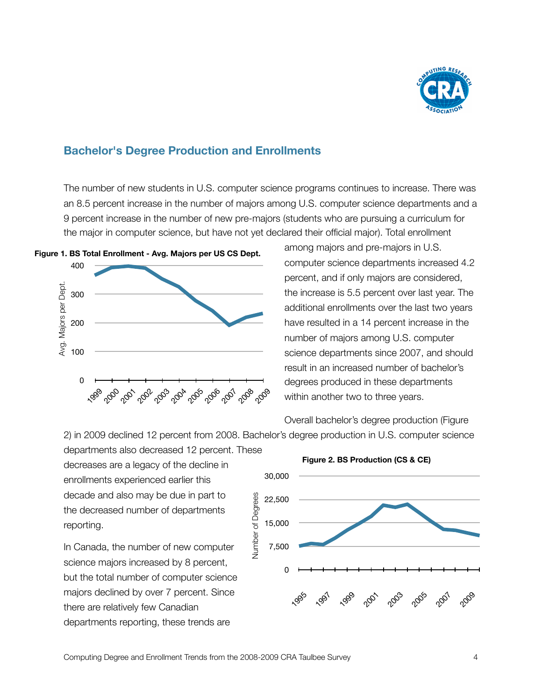

#### **Bachelor's Degree Production and Enrollments**

The number of new students in U.S. computer science programs continues to increase. There was an 8.5 percent increase in the number of majors among U.S. computer science departments and a 9 percent increase in the number of new pre-majors (students who are pursuing a curriculum for the major in computer science, but have not yet declared their official major). Total enrollment

**Figure 1. BS Total Enrollment - Avg. Majors per US CS Dept.**



among majors and pre-majors in U.S. computer science departments increased 4.2 percent, and if only majors are considered, the increase is 5.5 percent over last year. The additional enrollments over the last two years have resulted in a 14 percent increase in the number of majors among U.S. computer science departments since 2007, and should result in an increased number of bachelor's degrees produced in these departments within another two to three years.

Overall bachelor's degree production (Figure

2) in 2009 declined 12 percent from 2008. Bachelor's degree production in U.S. computer science

departments also decreased 12 percent. These decreases are a legacy of the decline in enrollments experienced earlier this decade and also may be due in part to the decreased number of departments reporting.

In Canada, the number of new computer science majors increased by 8 percent, but the total number of computer science majors declined by over 7 percent. Since there are relatively few Canadian departments reporting, these trends are

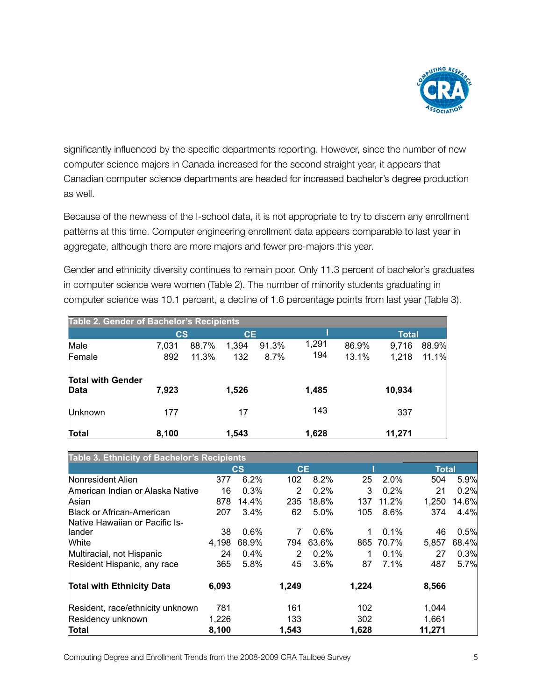

significantly influenced by the specific departments reporting. However, since the number of new computer science majors in Canada increased for the second straight year, it appears that Canadian computer science departments are headed for increased bachelor's degree production as well.

Because of the newness of the I-school data, it is not appropriate to try to discern any enrollment patterns at this time. Computer engineering enrollment data appears comparable to last year in aggregate, although there are more majors and fewer pre-majors this year.

Gender and ethnicity diversity continues to remain poor. Only 11.3 percent of bachelor's graduates in computer science were women (Table 2). The number of minority students graduating in computer science was 10.1 percent, a decline of 1.6 percentage points from last year (Table 3).

| Table 2. Gender of Bachelor's Recipients |                        |       |           |       |       |       |              |       |
|------------------------------------------|------------------------|-------|-----------|-------|-------|-------|--------------|-------|
|                                          | $\mathbf{c}\mathbf{s}$ |       | <b>CE</b> |       |       |       | <b>Total</b> |       |
| Male                                     | 7,031                  | 88.7% | 1,394     | 91.3% | 1,291 | 86.9% | 9,716        | 88.9% |
| Female                                   | 892                    | 11.3% | 132       | 8.7%  | 194   | 13.1% | 1,218        | 11.1% |
| <b>Total with Gender</b><br>Data         | 7,923                  |       | 1,526     |       | 1,485 |       | 10,934       |       |
| Unknown                                  | 177                    |       | 17        |       | 143   |       | 337          |       |
| Total                                    | 8,100                  |       | 1,543     |       | 1,628 |       | 11,271       |       |

| <b>Table 3. Ethnicity of Bachelor's Recipients</b> |       |                        |                |       |       |       |              |       |
|----------------------------------------------------|-------|------------------------|----------------|-------|-------|-------|--------------|-------|
|                                                    |       | $\mathbf{c}\mathbf{s}$ | <b>CE</b>      |       |       |       | <b>Total</b> |       |
| Nonresident Alien                                  | 377   | 6.2%                   | 102            | 8.2%  | 25    | 2.0%  | 504          | 5.9%  |
| American Indian or Alaska Native                   | 16    | 0.3%                   | 2              | 0.2%  | 3     | 0.2%  | 21           | 0.2%  |
| Asian                                              | 878   | 14.4%                  | 235            | 18.8% | 137   | 11.2% | 1,250        | 14.6% |
| <b>Black or African-American</b>                   | 207   | $3.4\%$                | 62             | 5.0%  | 105   | 8.6%  | 374          | 4.4%  |
| Native Hawaiian or Pacific Is-                     |       |                        |                |       |       |       |              |       |
| llander                                            | 38    | 0.6%                   | 7              | 0.6%  |       | 0.1%  | 46           | 0.5%  |
| <b>White</b>                                       | 4,198 | 68.9%                  | 794            | 63.6% | 865   | 70.7% | 5,857        | 68.4% |
| Multiracial, not Hispanic                          | 24    | $0.4\%$                | $\overline{2}$ | 0.2%  |       | 0.1%  | 27           | 0.3%  |
| Resident Hispanic, any race                        | 365   | 5.8%                   | 45             | 3.6%  | 87    | 7.1%  | 487          | 5.7%  |
| <b>Total with Ethnicity Data</b>                   | 6,093 |                        | 1,249          |       | 1,224 |       | 8,566        |       |
| Resident, race/ethnicity unknown                   | 781   |                        | 161            |       | 102   |       | 1,044        |       |
| Residency unknown                                  | 1,226 |                        | 133            |       | 302   |       | 1,661        |       |
| Total                                              | 8,100 |                        | 1,543          |       | 1,628 |       | 11,271       |       |

Computing Degree and Enrollment Trends from the 2008-2009 CRA Taulbee Survey 5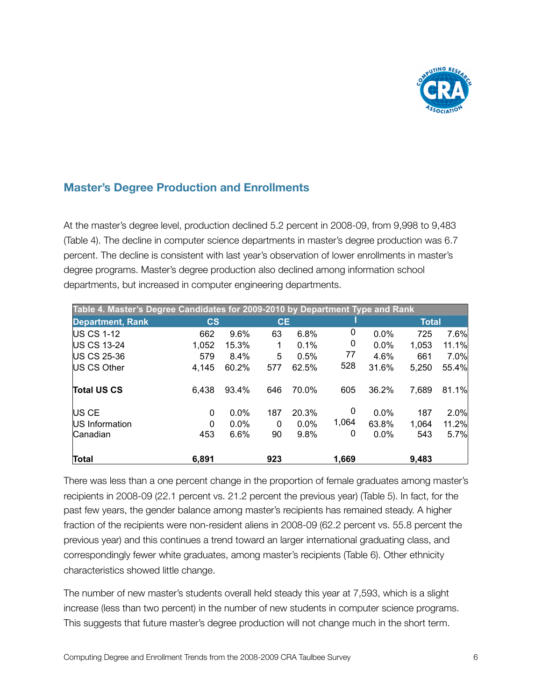

### **Master's Degree Production and Enrollments**

At the master's degree level, production declined 5.2 percent in 2008-09, from 9,998 to 9,483 (Table 4). The decline in computer science departments in master's degree production was 6.7 percent. The decline is consistent with last year's observation of lower enrollments in master's degree programs. Master's degree production also declined among information school departments, but increased in computer engineering departments.

| Table 4. Master's Degree Candidates for 2009-2010 by Department Type and Rank |                        |         |           |         |       |         |              |       |
|-------------------------------------------------------------------------------|------------------------|---------|-----------|---------|-------|---------|--------------|-------|
| <b>Department, Rank</b>                                                       | $\mathbf{c}\mathbf{s}$ |         | <b>CE</b> |         |       |         | <b>Total</b> |       |
| <b>IUS CS 1-12</b>                                                            | 662                    | 9.6%    | 63        | 6.8%    | 0     | 0.0%    | 725          | 7.6%  |
| <b>US CS 13-24</b>                                                            | 1,052                  | 15.3%   | 1         | 0.1%    | 0     | $0.0\%$ | 1,053        | 11.1% |
| <b>IUS CS 25-36</b>                                                           | 579                    | 8.4%    | 5         | 0.5%    | 77    | 4.6%    | 661          | 7.0%  |
| <b>IUS CS Other</b>                                                           | 4,145                  | 60.2%   | 577       | 62.5%   | 528   | 31.6%   | 5,250        | 55.4% |
| <b>Total US CS</b>                                                            | 6,438                  | 93.4%   | 646       | 70.0%   | 605   | 36.2%   | 7,689        | 81.1% |
| US CE                                                                         | 0                      | 0.0%    | 187       | 20.3%   | 0     | 0.0%    | 187          | 2.0%  |
| <b>US</b> Information                                                         | 0                      | $0.0\%$ | $\Omega$  | $0.0\%$ | 1,064 | 63.8%   | 1,064        | 11.2% |
| lCanadian                                                                     | 453                    | 6.6%    | 90        | 9.8%    | 0     | 0.0%    | 543          | 5.7%  |
| <b>Total</b>                                                                  | 6,891                  |         | 923       |         | 1,669 |         | 9,483        |       |

There was less than a one percent change in the proportion of female graduates among master's recipients in 2008-09 (22.1 percent vs. 21.2 percent the previous year) (Table 5). In fact, for the past few years, the gender balance among master's recipients has remained steady. A higher fraction of the recipients were non-resident aliens in 2008-09 (62.2 percent vs. 55.8 percent the previous year) and this continues a trend toward an larger international graduating class, and correspondingly fewer white graduates, among master's recipients (Table 6). Other ethnicity characteristics showed little change.

The number of new master's students overall held steady this year at 7,593, which is a slight increase (less than two percent) in the number of new students in computer science programs. This suggests that future master's degree production will not change much in the short term.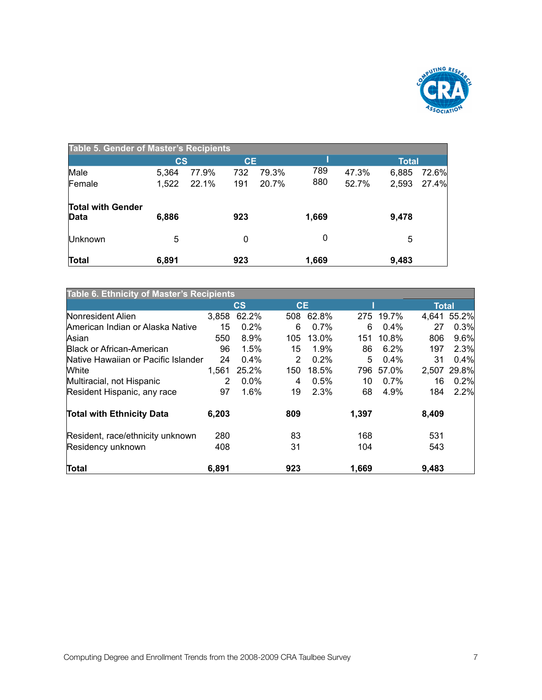

| <b>Table 5. Gender of Master's Recipients</b> |               |       |           |       |       |       |       |       |
|-----------------------------------------------|---------------|-------|-----------|-------|-------|-------|-------|-------|
|                                               | $\mathsf{cs}$ |       | <b>CE</b> |       |       |       | Total |       |
| Male                                          | 5,364         | 77.9% | 732       | 79.3% | 789   | 47.3% | 6,885 | 72.6% |
| Female                                        | 1,522         | 22.1% | 191       | 20.7% | 880   | 52.7% | 2,593 | 27.4% |
| <b>Total with Gender</b><br>Data              | 6,886         |       | 923       |       | 1,669 |       | 9,478 |       |
| Unknown                                       | 5             |       | 0         |       | 0     |       | 5     |       |
| Total                                         | 6,891         |       | 923       |       | 1,669 |       | 9,483 |       |

| Table 6. Ethnicity of Master's Recipients |       |                        |           |         |       |           |              |       |
|-------------------------------------------|-------|------------------------|-----------|---------|-------|-----------|--------------|-------|
|                                           |       | $\mathbf{c}\mathbf{s}$ | <b>CE</b> |         |       |           | <b>Total</b> |       |
| Nonresident Alien                         | 3,858 | 62.2%                  | 508       | 62.8%   |       | 275 19.7% | 4.641        | 55.2% |
| American Indian or Alaska Native          | 15    | 0.2%                   | 6         | $0.7\%$ | 6     | $0.4\%$   | 27           | 0.3%  |
| Asian                                     | 550   | $8.9\%$                | 105       | 13.0%   | 151   | 10.8%     | 806          | 9.6%  |
| <b>Black or African-American</b>          | 96    | $1.5\%$                | 15        | 1.9%    | 86    | 6.2%      | 197          | 2.3%  |
| Native Hawaiian or Pacific Islander       | 24    | 0.4%                   | 2         | 0.2%    | 5     | 0.4%      | 31           | 0.4%  |
| <b>White</b>                              | 1,561 | 25.2%                  | 150       | 18.5%   | 796   | 57.0%     | 2.507        | 29.8% |
| Multiracial, not Hispanic                 | 2     | $0.0\%$                | 4         | 0.5%    | 10    | $0.7\%$   | 16           | 0.2%  |
| Resident Hispanic, any race               | 97    | 1.6%                   | 19        | 2.3%    | 68    | 4.9%      | 184          | 2.2%  |
| <b>Total with Ethnicity Data</b>          | 6,203 |                        | 809       |         | 1,397 |           | 8,409        |       |
| Resident, race/ethnicity unknown          | 280   |                        | 83        |         | 168   |           | 531          |       |
| Residency unknown                         | 408   |                        | 31        |         | 104   |           | 543          |       |
| Total                                     | 6,891 |                        | 923       |         | 1,669 |           | 9.483        |       |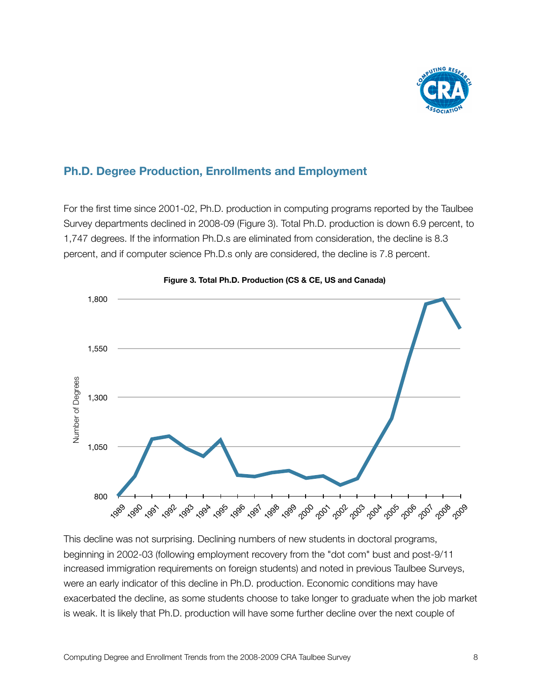

#### **Ph.D. Degree Production, Enrollments and Employment**

For the first time since 2001-02, Ph.D. production in computing programs reported by the Taulbee Survey departments declined in 2008-09 (Figure 3). Total Ph.D. production is down 6.9 percent, to 1,747 degrees. If the information Ph.D.s are eliminated from consideration, the decline is 8.3 percent, and if computer science Ph.D.s only are considered, the decline is 7.8 percent.





This decline was not surprising. Declining numbers of new students in doctoral programs, beginning in 2002-03 (following employment recovery from the "dot com" bust and post-9/11 increased immigration requirements on foreign students) and noted in previous Taulbee Surveys, were an early indicator of this decline in Ph.D. production. Economic conditions may have exacerbated the decline, as some students choose to take longer to graduate when the job market is weak. It is likely that Ph.D. production will have some further decline over the next couple of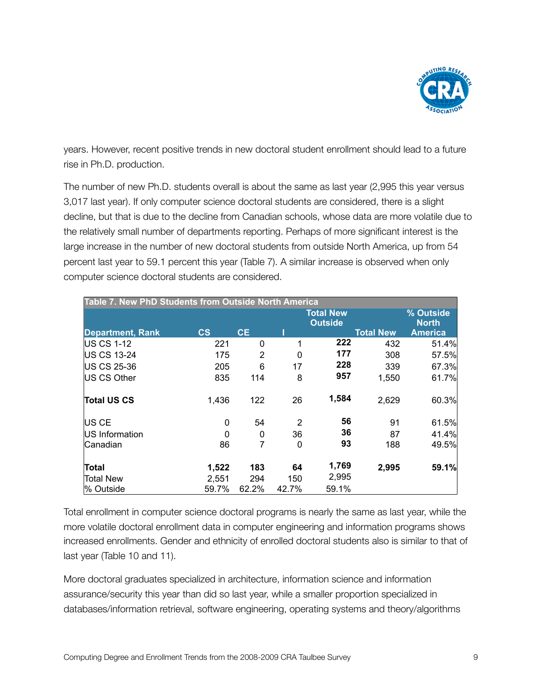

years. However, recent positive trends in new doctoral student enrollment should lead to a future rise in Ph.D. production.

The number of new Ph.D. students overall is about the same as last year (2,995 this year versus 3,017 last year). If only computer science doctoral students are considered, there is a slight decline, but that is due to the decline from Canadian schools, whose data are more volatile due to the relatively small number of departments reporting. Perhaps of more significant interest is the large increase in the number of new doctoral students from outside North America, up from 54 percent last year to 59.1 percent this year (Table 7). A similar increase is observed when only computer science doctoral students are considered.

| Table 7. New PhD Students from Outside North America |                        |              |       |                                    |                  |                           |
|------------------------------------------------------|------------------------|--------------|-------|------------------------------------|------------------|---------------------------|
|                                                      |                        |              |       | <b>Total New</b><br><b>Outside</b> |                  | % Outside<br><b>North</b> |
| <b>Department, Rank</b>                              | $\mathbf{c}\mathbf{s}$ | <b>CE</b>    |       |                                    | <b>Total New</b> | <b>America</b>            |
| <b>IUS CS 1-12</b>                                   | 221                    | $\mathbf{0}$ | 1     | 222                                | 432              | 51.4%                     |
| US CS 13-24                                          | 175                    | 2            | 0     | 177                                | 308              | 57.5%                     |
| US CS 25-36                                          | 205                    | 6            | 17    | 228                                | 339              | 67.3%                     |
| US CS Other                                          | 835                    | 114          | 8     | 957                                | 1,550            | 61.7%                     |
| <b>Total US CS</b>                                   | 1,436                  | 122          | 26    | 1,584                              | 2,629            | 60.3%                     |
| US CE                                                | 0                      | 54           | 2     | 56                                 | 91               | 61.5%                     |
| US Information                                       | $\Omega$               | 0            | 36    | 36                                 | 87               | 41.4%                     |
| Canadian                                             | 86                     | 7            | 0     | 93                                 | 188              | 49.5%                     |
| Total                                                | 1,522                  | 183          | 64    | 1,769                              | 2,995            | 59.1%                     |
| Total New                                            | 2,551                  | 294          | 150   | 2,995                              |                  |                           |
| l% Outside                                           | 59.7%                  | 62.2%        | 42.7% | 59.1%                              |                  |                           |

Total enrollment in computer science doctoral programs is nearly the same as last year, while the more volatile doctoral enrollment data in computer engineering and information programs shows increased enrollments. Gender and ethnicity of enrolled doctoral students also is similar to that of last year (Table 10 and 11).

More doctoral graduates specialized in architecture, information science and information assurance/security this year than did so last year, while a smaller proportion specialized in databases/information retrieval, software engineering, operating systems and theory/algorithms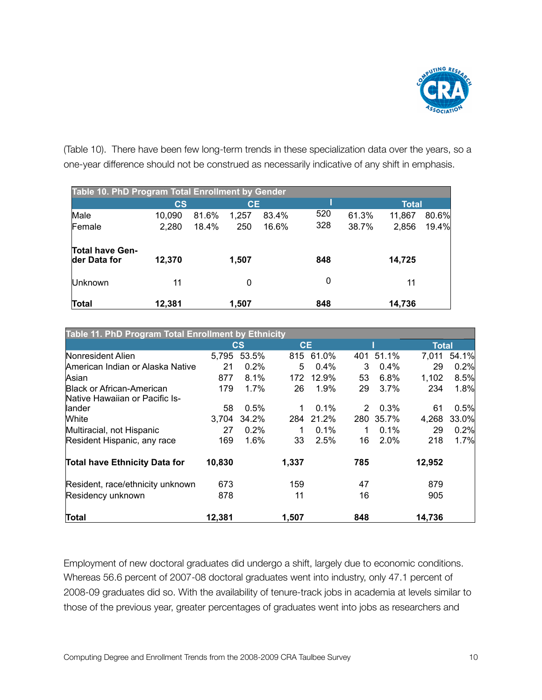

(Table 10). There have been few long-term trends in these specialization data over the years, so a one-year difference should not be construed as necessarily indicative of any shift in emphasis.

| Table 10. PhD Program Total Enrollment by Gender |               |       |           |       |     |       |              |       |
|--------------------------------------------------|---------------|-------|-----------|-------|-----|-------|--------------|-------|
|                                                  | $\mathsf{cs}$ |       | <b>CE</b> |       |     |       | <b>Total</b> |       |
| Male                                             | 10,090        | 81.6% | 1,257     | 83.4% | 520 | 61.3% | 11,867       | 80.6% |
| Female                                           | 2,280         | 18.4% | 250       | 16.6% | 328 | 38.7% | 2,856        | 19.4% |
| <b>Total have Gen-</b><br>der Data for           | 12,370        |       | 1,507     |       | 848 |       | 14,725       |       |
| <b>Unknown</b>                                   | 11            |       | 0         |       | 0   |       | 11           |       |
| Total                                            | 12,381        |       | 1,507     |       | 848 |       | 14,736       |       |

| Table 11. PhD Program Total Enrollment by Ethnicity |        |             |           |           |     |           |              |       |
|-----------------------------------------------------|--------|-------------|-----------|-----------|-----|-----------|--------------|-------|
|                                                     |        | $\csc$      | <b>CE</b> |           |     |           | <b>Total</b> |       |
| Nonresident Alien                                   |        | 5,795 53.5% |           | 815 61.0% |     | 401 51.1% | 7.011        | 54.1% |
| American Indian or Alaska Native                    | 21     | 0.2%        | 5         | 0.4%      | 3   | 0.4%      | 29           | 0.2%  |
| Asian                                               | 877    | 8.1%        | 172       | 12.9%     | 53  | 6.8%      | 1,102        | 8.5%  |
| Black or African-American                           | 179    | 1.7%        | 26        | 1.9%      | 29  | 3.7%      | 234          | 1.8%  |
| Native Hawaiian or Pacific Is-                      |        |             |           |           |     |           |              |       |
| llander                                             | 58     | 0.5%        | 1         | $0.1\%$   | 2   | 0.3%      | 61           | 0.5%  |
| White                                               | 3,704  | 34.2%       | 284       | 21.2%     |     | 280 35.7% | 4,268        | 33.0% |
| Multiracial, not Hispanic                           | 27     | $0.2\%$     |           | $0.1\%$   | 1   | $0.1\%$   | 29           | 0.2%  |
| Resident Hispanic, any race                         | 169    | 1.6%        | 33        | 2.5%      | 16  | 2.0%      | 218          | 1.7%  |
| <b>Total have Ethnicity Data for</b>                | 10,830 |             | 1,337     |           | 785 |           | 12,952       |       |
| Resident, race/ethnicity unknown                    | 673    |             | 159       |           | 47  |           | 879          |       |
| Residency unknown                                   | 878    |             | 11        |           | 16  |           | 905          |       |
| Total                                               | 12,381 |             | 1,507     |           | 848 |           | 14,736       |       |

Employment of new doctoral graduates did undergo a shift, largely due to economic conditions. Whereas 56.6 percent of 2007-08 doctoral graduates went into industry, only 47.1 percent of 2008-09 graduates did so. With the availability of tenure-track jobs in academia at levels similar to those of the previous year, greater percentages of graduates went into jobs as researchers and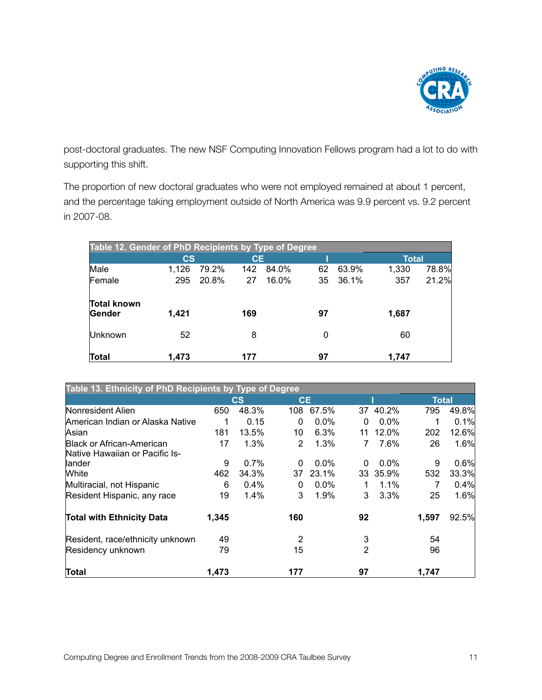

post-doctoral graduates. The new NSF Computing Innovation Fellows program had a lot to do with supporting this shift.

The proportion of new doctoral graduates who were not employed remained at about 1 percent, and the percentage taking employment outside of North America was 9.9 percent vs. 9.2 percent in 2007-08.

| Table 12. Gender of PhD Recipients by Type of Degree |                        |       |           |       |    |       |              |       |
|------------------------------------------------------|------------------------|-------|-----------|-------|----|-------|--------------|-------|
|                                                      | $\mathbf{c}\mathbf{s}$ |       | <b>CE</b> |       |    |       | <b>Total</b> |       |
| Male                                                 | 1,126                  | 79.2% | 142       | 84.0% | 62 | 63.9% | 1,330        | 78.8% |
| Female                                               | 295                    | 20.8% | 27        | 16.0% | 35 | 36.1% | 357          | 21.2% |
| Total known<br>Gender                                | 1,421                  |       | 169       |       | 97 |       | 1,687        |       |
| Unknown                                              | 52                     |       | 8         |       | 0  |       | 60           |       |
| Total                                                | 1,473                  |       | 177       |       | 97 |       | 1,747        |       |

| Table 13. Ethnicity of PhD Recipients by Type of Degree |       |                        |           |         |                |          |              |       |
|---------------------------------------------------------|-------|------------------------|-----------|---------|----------------|----------|--------------|-------|
|                                                         |       | $\mathbf{c}\mathbf{s}$ | <b>CE</b> |         |                |          | <b>Total</b> |       |
| Nonresident Alien                                       | 650   | 48.3%                  | 108       | 67.5%   | 37             | 40.2%    | 795          | 49.8% |
| American Indian or Alaska Native                        |       | 0.15                   | $\Omega$  | $0.0\%$ | 0              | $0.0\%$  |              | 0.1%  |
| Asian                                                   | 181   | 13.5%                  | 10        | 6.3%    |                | 11 12.0% | 202          | 12.6% |
| Black or African-American                               | 17    | 1.3%                   | 2         | 1.3%    | 7              | 7.6%     | 26           | 1.6%  |
| Native Hawaiian or Pacific Is-                          |       |                        |           |         |                |          |              |       |
| llander                                                 | 9     | 0.7%                   | $\Omega$  | $0.0\%$ | $\Omega$       | $0.0\%$  | 9            | 0.6%  |
| <b>White</b>                                            | 462   | 34.3%                  | 37        | 23.1%   |                | 33 35.9% | 532          | 33.3% |
| Multiracial, not Hispanic                               | 6     | 0.4%                   | 0         | $0.0\%$ |                | 1.1%     |              | 0.4%  |
| Resident Hispanic, any race                             | 19    | 1.4%                   | 3         | 1.9%    | 3              | 3.3%     | 25           | 1.6%  |
| <b>Total with Ethnicity Data</b>                        | 1,345 |                        | 160       |         | 92             |          | 1,597        | 92.5% |
| Resident, race/ethnicity unknown                        | 49    |                        | 2         |         | 3              |          | 54           |       |
| Residency unknown                                       | 79    |                        | 15        |         | $\overline{2}$ |          | 96           |       |
| Total                                                   | 1,473 |                        | 177       |         | 97             |          | 1,747        |       |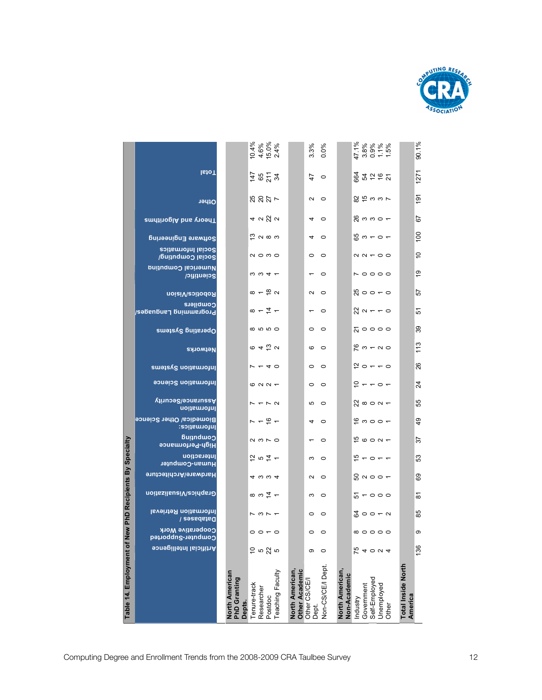

| 100<br>$\frac{1}{2}$ a $\infty$ a<br>$50 - 0 -$<br>$\sim$<br>Software Engineering<br><b>Social Informatics</b><br>$\overline{C}$<br>$Q \circ Q$<br>$\circ$ $\circ$<br>$\alpha \alpha - \alpha$<br>Social Computing/<br><b>Duitudmoo Isoliamulu</b><br>$\frac{6}{5}$<br><b>NO000</b><br>$\omega \omega 4 -$<br>$\sim$ 0<br>Scientific/<br>$\infty$ – $\frac{\infty}{2}$ $\sim$<br>57<br>$\frac{10}{20}$ o o $\pm$ o<br>$N$ 0<br>Robotics/Vision<br>Compilers<br>$\frac{1}{\infty}$ $\frac{1}{\infty}$ $\frac{1}{\infty}$<br>$\frac{1}{20}$ $\alpha$ $\sim$ $\sim$ $\alpha$<br>51<br>$\sim$ 0<br>Programming Languagos/ |
|-----------------------------------------------------------------------------------------------------------------------------------------------------------------------------------------------------------------------------------------------------------------------------------------------------------------------------------------------------------------------------------------------------------------------------------------------------------------------------------------------------------------------------------------------------------------------------------------------------------------------|
|                                                                                                                                                                                                                                                                                                                                                                                                                                                                                                                                                                                                                       |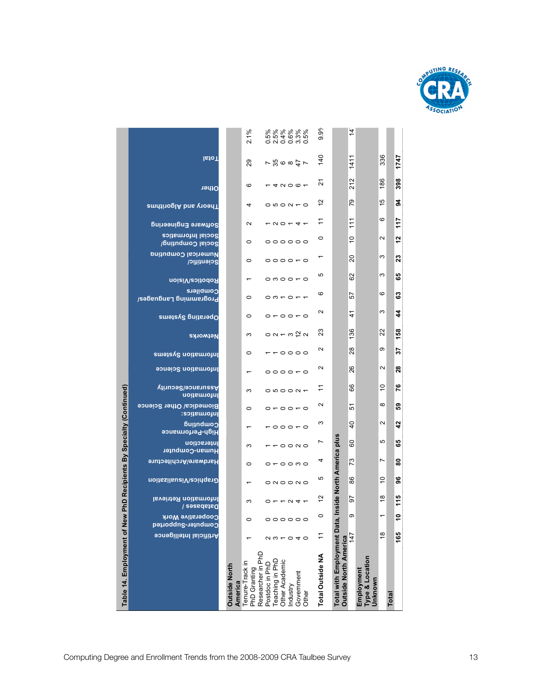

| Table 14. Employment of New PhD Recipients By Specialty (Continued) |                                                 | <b>Outside North</b><br>America | Tenure-Track in<br>PhD Granting | Researcher in PhD<br>Teaching in PhD<br>Other Academic<br>Postdoc in PhD<br>Government<br>Industry<br>Other | Total Outside NA         | <b>Total with Employment Dat</b><br><b>Outside North America</b> | Type & Location<br>Employment<br>Unknown |                                    | Total                      |
|---------------------------------------------------------------------|-------------------------------------------------|---------------------------------|---------------------------------|-------------------------------------------------------------------------------------------------------------|--------------------------|------------------------------------------------------------------|------------------------------------------|------------------------------------|----------------------------|
|                                                                     | Artificial Intelligence                         |                                 |                                 | $\begin{array}{c} 0 & \text{if } 0 \\ 0 & \text{if } 0 \end{array}$                                         | H                        |                                                                  | 147                                      | $\overset{\circ}{\phantom{\circ}}$ | 165                        |
|                                                                     | <b>Cooperative Work</b><br>Computer-Supported   |                                 | $\circ$                         | 000000                                                                                                      | $\circ$                  | ι.                                                               | თ                                        | $\overline{ }$                     | ۽                          |
|                                                                     | Information Retrieval<br>Databases /            |                                 | S                               | $0 - -N + -$                                                                                                | $\frac{1}{2}$            |                                                                  | 5                                        | $\frac{8}{1}$                      | 115                        |
|                                                                     | Graphics/Visualization                          |                                 | $\overline{\phantom{0}}$        | $\circ$ $\circ$ $\circ$ $\circ$ $\circ$                                                                     | ю                        | Inside North America plus                                        | 86                                       | $\tilde{0}$                        | 96                         |
|                                                                     | Hardware/Architecture                           |                                 | $\circ$                         | $0 - 00$ mo                                                                                                 | 4                        |                                                                  | 73                                       | Ľ                                  | 8                          |
|                                                                     | Interaction<br>Human-Computer                   |                                 | S                               | $  \circ$ $\circ$ $\circ$                                                                                   | r                        |                                                                  | 60                                       | Ю                                  | 65                         |
|                                                                     | <b>Guindwoo</b><br>High-Performance             |                                 | $\overline{\phantom{0}}$        | $\overline{a}$                                                                                              | S                        |                                                                  | $\frac{1}{2}$                            | $\sim$                             | $\overline{4}$             |
|                                                                     | <b>Biomedica/ Other Science</b><br>lnformatics: |                                 | $\circ$                         | $0 - 00 - 0$                                                                                                | $\mathbf{\Omega}$        |                                                                  | 5                                        | $\infty$                           | င္မွာ                      |
|                                                                     | <b>Wasurance/Security</b><br>Information        |                                 | S                               | $\circ$ $\circ$ $\circ$ $\circ$ $\circ$                                                                     | H                        |                                                                  | 89                                       | $\tilde{c}$                        | 76                         |
|                                                                     | <b>Pormation Science</b>                        |                                 | $\overline{\phantom{0}}$        | $\circ\circ\circ\circ\circ$                                                                                 | $\mathbf{\Omega}$        |                                                                  | 26                                       | Ν                                  | $\boldsymbol{28}$          |
|                                                                     | Information Systems                             |                                 | $\circ$                         | $-0000$                                                                                                     | $\mathbf{\Omega}$        |                                                                  | 28                                       | თ                                  | 22                         |
|                                                                     | Networks                                        |                                 | S                               | $0 \vee - \vee \vee$                                                                                        | 23                       |                                                                  | 136                                      | $\overline{2}$                     | 158                        |
|                                                                     | Dperating Systems                               |                                 | $\circ$                         | $\circ\bullet\circ\circ\bullet\circ$                                                                        | $\mathbf{\Omega}$        |                                                                  | 4                                        | S                                  | 4                          |
|                                                                     | Compilers<br>Programming Languages/             |                                 | $\circ$                         | $\circ$ $\circ$ $\circ$ $\circ$ $\circ$ $\circ$                                                             | ဖ                        |                                                                  | 57                                       | ဖ                                  | ය                          |
|                                                                     | <b>noisiVesitodoA</b>                           |                                 | $\overline{\phantom{0}}$        | $\circ$ $\circ$ $\circ$ $\circ$ $\circ$                                                                     | 5                        |                                                                  | 82                                       | ო                                  | မ္မ                        |
|                                                                     | Numerical Computing<br>Scientific/              |                                 | $\circ$                         | 000000                                                                                                      | $\overline{\phantom{0}}$ |                                                                  | 20                                       | ო                                  | $\boldsymbol{\mathcal{Z}}$ |
|                                                                     | <b>Social Informatics</b><br>Social Computing/  |                                 | $\circ$                         | 000000                                                                                                      | $\circ$                  |                                                                  | $\frac{1}{2}$                            | $\mathbf{\Omega}$                  | 5                          |
|                                                                     | Software Engineering                            |                                 | $\mathbf{\Omega}$               | $-00 - 4$                                                                                                   | Ξ                        |                                                                  | $\frac{1}{11}$                           | $\circ$                            | 117                        |
|                                                                     | <b>andinoglA</b> bns voedT                      |                                 | 4                               | $O$ to $O$ to $O$                                                                                           | $\frac{1}{2}$            |                                                                  | 79                                       | 45                                 | 24                         |
|                                                                     | Other                                           |                                 | ဖ                               | $-4000-$                                                                                                    | 2                        |                                                                  | 212                                      | 186                                | 398                        |
|                                                                     | lsto <sub>I</sub>                               |                                 | 29                              | 7580077                                                                                                     | 140                      |                                                                  | 1411                                     | 336                                | 1747                       |
|                                                                     |                                                 |                                 | 2.1%                            |                                                                                                             | $\frac{6}{2}$<br>တ       |                                                                  | $\frac{4}{1}$                            |                                    |                            |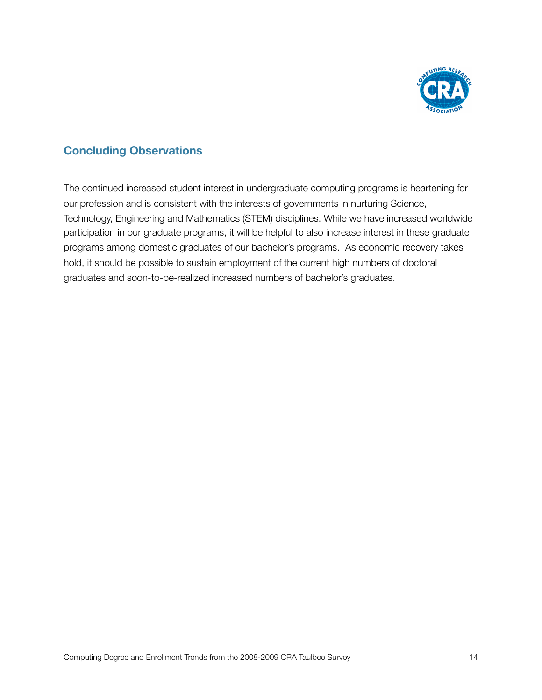

#### **Concluding Observations**

The continued increased student interest in undergraduate computing programs is heartening for our profession and is consistent with the interests of governments in nurturing Science, Technology, Engineering and Mathematics (STEM) disciplines. While we have increased worldwide participation in our graduate programs, it will be helpful to also increase interest in these graduate programs among domestic graduates of our bachelor's programs. As economic recovery takes hold, it should be possible to sustain employment of the current high numbers of doctoral graduates and soon-to-be-realized increased numbers of bachelor's graduates.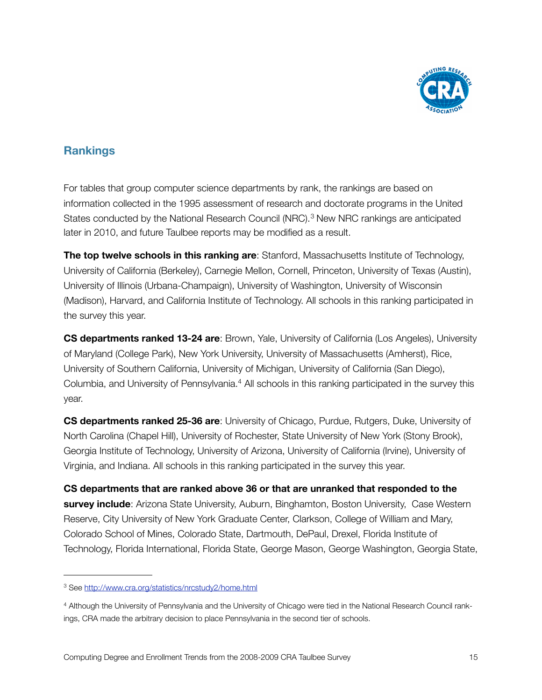

#### **Rankings**

For tables that group computer science departments by rank, the rankings are based on information collected in the 1995 assessment of research and doctorate programs in the United States conducted by the National Research Council (NRC).<sup>3</sup> New NRC rankings are anticipated later in 2010, and future Taulbee reports may be modified as a result.

**The top twelve schools in this ranking are**: Stanford, Massachusetts Institute of Technology, University of California (Berkeley), Carnegie Mellon, Cornell, Princeton, University of Texas (Austin), University of Illinois (Urbana-Champaign), University of Washington, University of Wisconsin (Madison), Harvard, and California Institute of Technology. All schools in this ranking participated in the survey this year.

**CS departments ranked 13-24 are**: Brown, Yale, University of California (Los Angeles), University of Maryland (College Park), New York University, University of Massachusetts (Amherst), Rice, University of Southern California, University of Michigan, University of California (San Diego), Columbia, and University of Pennsylvania.<sup>4</sup> All schools in this ranking participated in the survey this year.

**CS departments ranked 25-36 are**: University of Chicago, Purdue, Rutgers, Duke, University of North Carolina (Chapel Hill), University of Rochester, State University of New York (Stony Brook), Georgia Institute of Technology, University of Arizona, University of California (Irvine), University of Virginia, and Indiana. All schools in this ranking participated in the survey this year.

**CS departments that are ranked above 36 or that are unranked that responded to the survey include**: Arizona State University, Auburn, Binghamton, Boston University, Case Western Reserve, City University of New York Graduate Center, Clarkson, College of William and Mary, Colorado School of Mines, Colorado State, Dartmouth, DePaul, Drexel, Florida Institute of Technology, Florida International, Florida State, George Mason, George Washington, Georgia State,

<span id="page-15-0"></span><sup>3</sup> See<http://www.cra.org/statistics/nrcstudy2/home.html>

<span id="page-15-1"></span><sup>4</sup> Although the University of Pennsylvania and the University of Chicago were tied in the National Research Council rankings, CRA made the arbitrary decision to place Pennsylvania in the second tier of schools.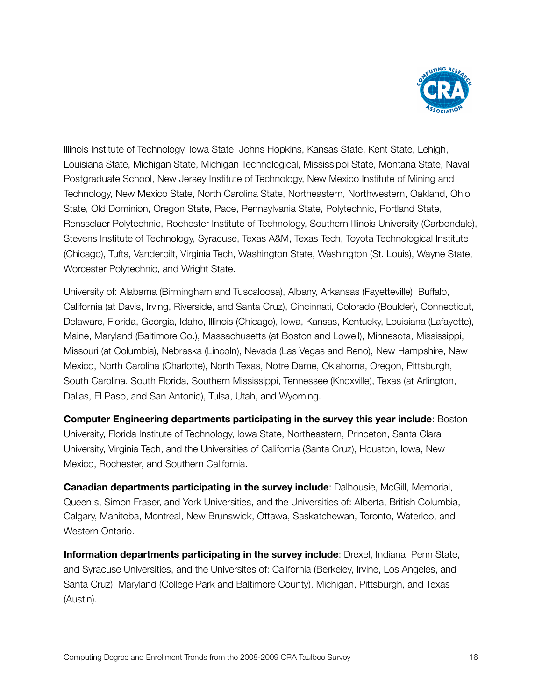

Illinois Institute of Technology, Iowa State, Johns Hopkins, Kansas State, Kent State, Lehigh, Louisiana State, Michigan State, Michigan Technological, Mississippi State, Montana State, Naval Postgraduate School, New Jersey Institute of Technology, New Mexico Institute of Mining and Technology, New Mexico State, North Carolina State, Northeastern, Northwestern, Oakland, Ohio State, Old Dominion, Oregon State, Pace, Pennsylvania State, Polytechnic, Portland State, Rensselaer Polytechnic, Rochester Institute of Technology, Southern Illinois University (Carbondale), Stevens Institute of Technology, Syracuse, Texas A&M, Texas Tech, Toyota Technological Institute (Chicago), Tufts, Vanderbilt, Virginia Tech, Washington State, Washington (St. Louis), Wayne State, Worcester Polytechnic, and Wright State.

University of: Alabama (Birmingham and Tuscaloosa), Albany, Arkansas (Fayetteville), Buffalo, California (at Davis, Irving, Riverside, and Santa Cruz), Cincinnati, Colorado (Boulder), Connecticut, Delaware, Florida, Georgia, Idaho, Illinois (Chicago), Iowa, Kansas, Kentucky, Louisiana (Lafayette), Maine, Maryland (Baltimore Co.), Massachusetts (at Boston and Lowell), Minnesota, Mississippi, Missouri (at Columbia), Nebraska (Lincoln), Nevada (Las Vegas and Reno), New Hampshire, New Mexico, North Carolina (Charlotte), North Texas, Notre Dame, Oklahoma, Oregon, Pittsburgh, South Carolina, South Florida, Southern Mississippi, Tennessee (Knoxville), Texas (at Arlington, Dallas, El Paso, and San Antonio), Tulsa, Utah, and Wyoming.

**Computer Engineering departments participating in the survey this year include**: Boston University, Florida Institute of Technology, Iowa State, Northeastern, Princeton, Santa Clara University, Virginia Tech, and the Universities of California (Santa Cruz), Houston, Iowa, New Mexico, Rochester, and Southern California.

**Canadian departments participating in the survey include**: Dalhousie, McGill, Memorial, Queen's, Simon Fraser, and York Universities, and the Universities of: Alberta, British Columbia, Calgary, Manitoba, Montreal, New Brunswick, Ottawa, Saskatchewan, Toronto, Waterloo, and Western Ontario.

**Information departments participating in the survey include**: Drexel, Indiana, Penn State, and Syracuse Universities, and the Universites of: California (Berkeley, Irvine, Los Angeles, and Santa Cruz), Maryland (College Park and Baltimore County), Michigan, Pittsburgh, and Texas (Austin).